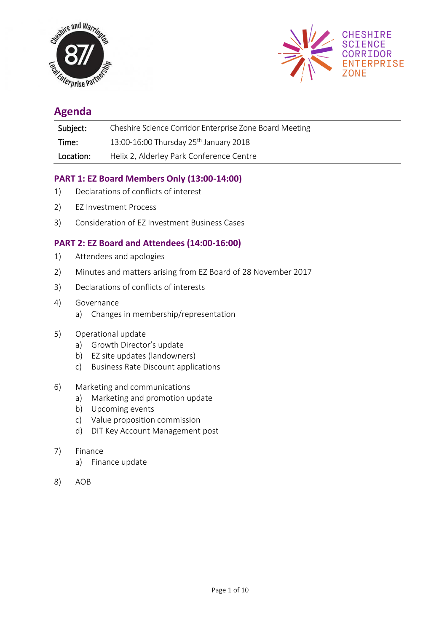



# **Agenda**

| Subject:  | Cheshire Science Corridor Enterprise Zone Board Meeting |
|-----------|---------------------------------------------------------|
| Time:     | 13:00-16:00 Thursday $25^{th}$ January 2018             |
| Location: | Helix 2, Alderley Park Conference Centre                |

## **PART 1: EZ Board Members Only (13:00-14:00)**

- 1) Declarations of conflicts of interest
- 2) EZ Investment Process
- 3) Consideration of EZ Investment Business Cases

## **PART 2: EZ Board and Attendees (14:00-16:00)**

- 1) Attendees and apologies
- 2) Minutes and matters arising from EZ Board of 28 November 2017
- 3) Declarations of conflicts of interests
- 4) Governance
	- a) Changes in membership/representation
- 5) Operational update
	- a) Growth Director's update
	- b) EZ site updates (landowners)
	- c) Business Rate Discount applications

#### 6) Marketing and communications

- a) Marketing and promotion update
- b) Upcoming events
- c) Value proposition commission
- d) DIT Key Account Management post
- 7) Finance
	- a) Finance update
- 8) AOB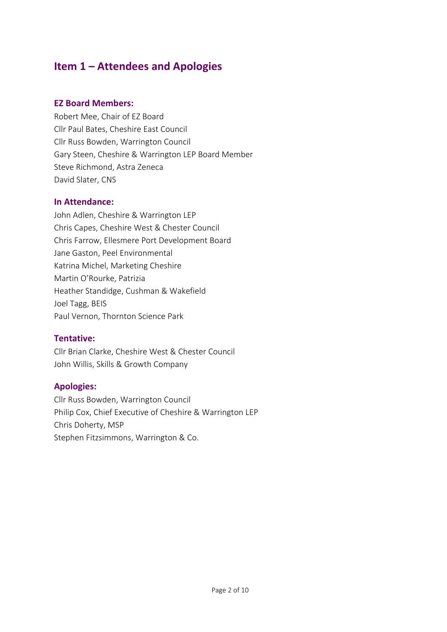# **Item 1 – Attendees and Apologies**

## **EZ Board Members:**

Robert Mee, Chair of EZ Board Cllr Paul Bates, Cheshire East Council Cllr Russ Bowden, Warrington Council Gary Steen, Cheshire & Warrington LEP Board Member Steve Richmond, Astra Zeneca David Slater, CNS

## **In Attendance:**

John Adlen, Cheshire & Warrington LEP Chris Capes, Cheshire West & Chester Council Chris Farrow, Ellesmere Port Development Board Jane Gaston, Peel Environmental Katrina Michel, Marketing Cheshire Martin O'Rourke, Patrizia Heather Standidge, Cushman & Wakefield Joel Tagg, BEIS Paul Vernon, Thornton Science Park

## **Tentative:**

Cllr Brian Clarke, Cheshire West & Chester Council John Willis, Skills & Growth Company

## **Apologies:**

Cllr Russ Bowden, Warrington Council Philip Cox, Chief Executive of Cheshire & Warrington LEP Chris Doherty, MSP Stephen Fitzsimmons, Warrington & Co.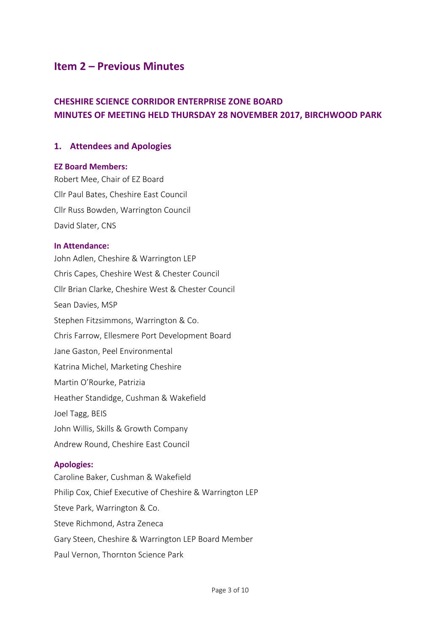# **Item 2 – Previous Minutes**

# **CHESHIRE SCIENCE CORRIDOR ENTERPRISE ZONE BOARD MINUTES OF MEETING HELD THURSDAY 28 NOVEMBER 2017, BIRCHWOOD PARK**

## **1. Attendees and Apologies**

#### **EZ Board Members:**

Robert Mee, Chair of EZ Board Cllr Paul Bates, Cheshire East Council Cllr Russ Bowden, Warrington Council David Slater, CNS

#### **In Attendance:**

John Adlen, Cheshire & Warrington LEP Chris Capes, Cheshire West & Chester Council Cllr Brian Clarke, Cheshire West & Chester Council Sean Davies, MSP Stephen Fitzsimmons, Warrington & Co. Chris Farrow, Ellesmere Port Development Board Jane Gaston, Peel Environmental Katrina Michel, Marketing Cheshire Martin O'Rourke, Patrizia Heather Standidge, Cushman & Wakefield Joel Tagg, BEIS John Willis, Skills & Growth Company Andrew Round, Cheshire East Council

### **Apologies:**

Caroline Baker, Cushman & Wakefield Philip Cox, Chief Executive of Cheshire & Warrington LEP Steve Park, Warrington & Co. Steve Richmond, Astra Zeneca Gary Steen, Cheshire & Warrington LEP Board Member Paul Vernon, Thornton Science Park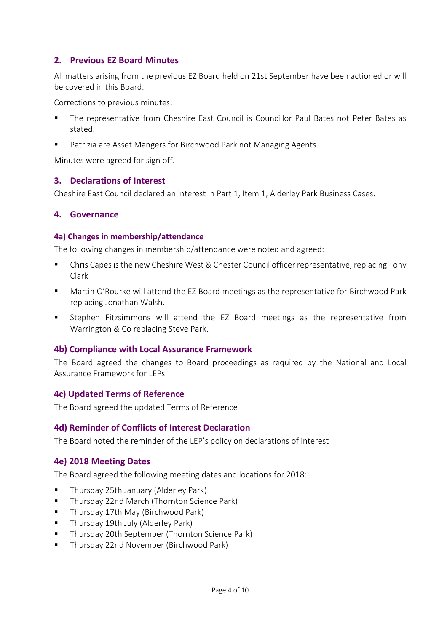## **2. Previous EZ Board Minutes**

All matters arising from the previous EZ Board held on 21st September have been actioned or will be covered in this Board.

Corrections to previous minutes:

- The representative from Cheshire East Council is Councillor Paul Bates not Peter Bates as stated.
- Patrizia are Asset Mangers for Birchwood Park not Managing Agents.

Minutes were agreed for sign off.

### **3. Declarations of Interest**

Cheshire East Council declared an interest in Part 1, Item 1, Alderley Park Business Cases.

## **4. Governance**

#### **4a) Changes in membership/attendance**

The following changes in membership/attendance were noted and agreed:

- Chris Capes is the new Cheshire West & Chester Council officer representative, replacing Tony Clark
- Martin O'Rourke will attend the EZ Board meetings as the representative for Birchwood Park replacing Jonathan Walsh.
- Stephen Fitzsimmons will attend the EZ Board meetings as the representative from Warrington & Co replacing Steve Park.

## **4b) Compliance with Local Assurance Framework**

The Board agreed the changes to Board proceedings as required by the National and Local Assurance Framework for LEPs.

#### **4c) Updated Terms of Reference**

The Board agreed the updated Terms of Reference

## **4d) Reminder of Conflicts of Interest Declaration**

The Board noted the reminder of the LEP's policy on declarations of interest

#### **4e) 2018 Meeting Dates**

The Board agreed the following meeting dates and locations for 2018:

- Thursday 25th January (Alderley Park)
- Thursday 22nd March (Thornton Science Park)
- Thursday 17th May (Birchwood Park)
- Thursday 19th July (Alderley Park)
- Thursday 20th September (Thornton Science Park)
- Thursday 22nd November (Birchwood Park)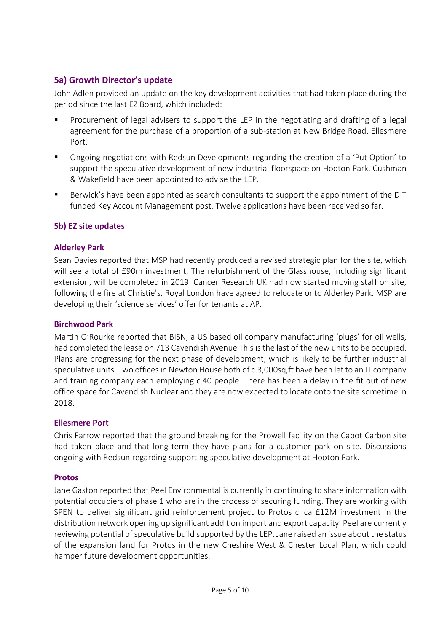## **5a) Growth Director's update**

John Adlen provided an update on the key development activities that had taken place during the period since the last EZ Board, which included:

- Procurement of legal advisers to support the LEP in the negotiating and drafting of a legal agreement for the purchase of a proportion of a sub-station at New Bridge Road, Ellesmere Port.
- Ongoing negotiations with Redsun Developments regarding the creation of a 'Put Option' to support the speculative development of new industrial floorspace on Hooton Park. Cushman & Wakefield have been appointed to advise the LEP.
- Berwick's have been appointed as search consultants to support the appointment of the DIT funded Key Account Management post. Twelve applications have been received so far.

## **5b) EZ site updates**

## **Alderley Park**

Sean Davies reported that MSP had recently produced a revised strategic plan for the site, which will see a total of £90m investment. The refurbishment of the Glasshouse, including significant extension, will be completed in 2019. Cancer Research UK had now started moving staff on site, following the fire at Christie's. Royal London have agreed to relocate onto Alderley Park. MSP are developing their 'science services' offer for tenants at AP.

## **Birchwood Park**

Martin O'Rourke reported that BISN, a US based oil company manufacturing 'plugs' for oil wells, had completed the lease on 713 Cavendish Avenue This is the last of the new units to be occupied. Plans are progressing for the next phase of development, which is likely to be further industrial speculative units. Two offices in Newton House both of c.3,000sq,ft have been let to an IT company and training company each employing c.40 people. There has been a delay in the fit out of new office space for Cavendish Nuclear and they are now expected to locate onto the site sometime in 2018.

#### **Ellesmere Port**

Chris Farrow reported that the ground breaking for the Prowell facility on the Cabot Carbon site had taken place and that long-term they have plans for a customer park on site. Discussions ongoing with Redsun regarding supporting speculative development at Hooton Park.

#### **Protos**

Jane Gaston reported that Peel Environmental is currently in continuing to share information with potential occupiers of phase 1 who are in the process of securing funding. They are working with SPEN to deliver significant grid reinforcement project to Protos circa £12M investment in the distribution network opening up significant addition import and export capacity. Peel are currently reviewing potential of speculative build supported by the LEP. Jane raised an issue about the status of the expansion land for Protos in the new Cheshire West & Chester Local Plan, which could hamper future development opportunities.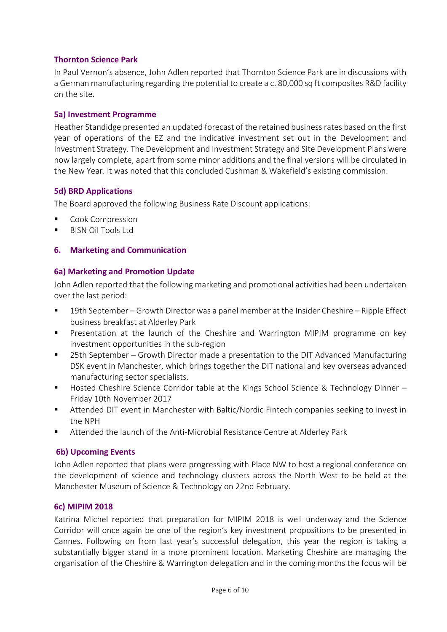## **Thornton Science Park**

In Paul Vernon's absence, John Adlen reported that Thornton Science Park are in discussions with a German manufacturing regarding the potential to create a c. 80,000 sq ft composites R&D facility on the site.

#### **5a) Investment Programme**

Heather Standidge presented an updated forecast of the retained business rates based on the first year of operations of the EZ and the indicative investment set out in the Development and Investment Strategy. The Development and Investment Strategy and Site Development Plans were now largely complete, apart from some minor additions and the final versions will be circulated in the New Year. It was noted that this concluded Cushman & Wakefield's existing commission.

### **5d) BRD Applications**

The Board approved the following Business Rate Discount applications:

- Cook Compression
- **BISN Oil Tools Ltd**

## **6. Marketing and Communication**

### **6a) Marketing and Promotion Update**

John Adlen reported that the following marketing and promotional activities had been undertaken over the last period:

- 19th September Growth Director was a panel member at the Insider Cheshire Ripple Effect business breakfast at Alderley Park
- Presentation at the launch of the Cheshire and Warrington MIPIM programme on key investment opportunities in the sub-region
- 25th September Growth Director made a presentation to the DIT Advanced Manufacturing DSK event in Manchester, which brings together the DIT national and key overseas advanced manufacturing sector specialists.
- Hosted Cheshire Science Corridor table at the Kings School Science & Technology Dinner Friday 10th November 2017
- Attended DIT event in Manchester with Baltic/Nordic Fintech companies seeking to invest in the NPH
- Attended the launch of the Anti-Microbial Resistance Centre at Alderley Park

#### **6b) Upcoming Events**

John Adlen reported that plans were progressing with Place NW to host a regional conference on the development of science and technology clusters across the North West to be held at the Manchester Museum of Science & Technology on 22nd February.

#### **6c) MIPIM 2018**

Katrina Michel reported that preparation for MIPIM 2018 is well underway and the Science Corridor will once again be one of the region's key investment propositions to be presented in Cannes. Following on from last year's successful delegation, this year the region is taking a substantially bigger stand in a more prominent location. Marketing Cheshire are managing the organisation of the Cheshire & Warrington delegation and in the coming months the focus will be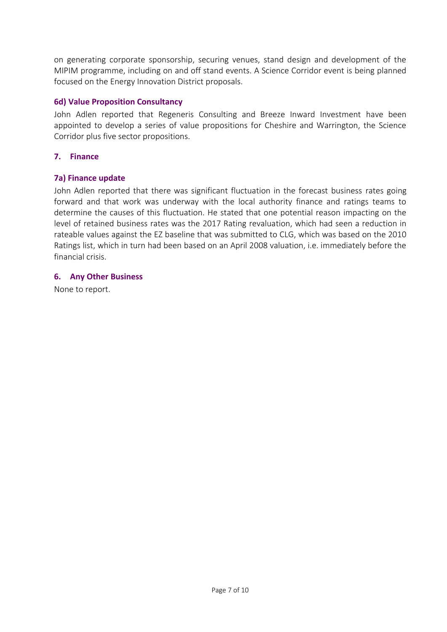on generating corporate sponsorship, securing venues, stand design and development of the MIPIM programme, including on and off stand events. A Science Corridor event is being planned focused on the Energy Innovation District proposals.

### **6d) Value Proposition Consultancy**

John Adlen reported that Regeneris Consulting and Breeze Inward Investment have been appointed to develop a series of value propositions for Cheshire and Warrington, the Science Corridor plus five sector propositions.

## **7. Finance**

### **7a) Finance update**

John Adlen reported that there was significant fluctuation in the forecast business rates going forward and that work was underway with the local authority finance and ratings teams to determine the causes of this fluctuation. He stated that one potential reason impacting on the level of retained business rates was the 2017 Rating revaluation, which had seen a reduction in rateable values against the EZ baseline that was submitted to CLG, which was based on the 2010 Ratings list, which in turn had been based on an April 2008 valuation, i.e. immediately before the financial crisis.

### **6. Any Other Business**

None to report.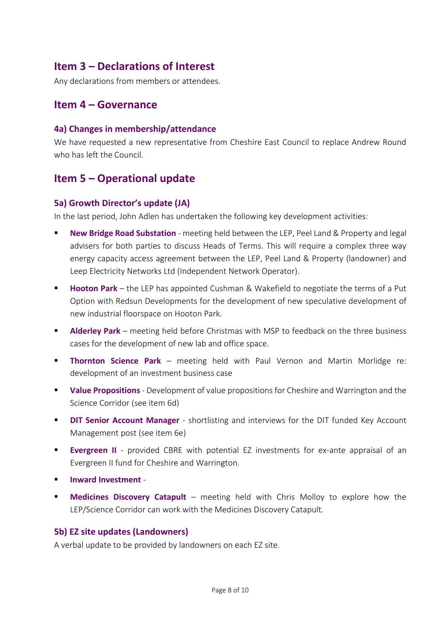# **Item 3 – Declarations of Interest**

Any declarations from members or attendees.

# **Item 4 – Governance**

#### **4a) Changes in membership/attendance**

We have requested a new representative from Cheshire East Council to replace Andrew Round who has left the Council.

# **Item 5 – Operational update**

### **5a) Growth Director's update (JA)**

In the last period, John Adlen has undertaken the following key development activities:

- **New Bridge Road Substation** meeting held between the LEP, Peel Land & Property and legal advisers for both parties to discuss Heads of Terms. This will require a complex three way energy capacity access agreement between the LEP, Peel Land & Property (landowner) and Leep Electricity Networks Ltd (Independent Network Operator).
- **Hooton Park** the LEP has appointed Cushman & Wakefield to negotiate the terms of a Put Option with Redsun Developments for the development of new speculative development of new industrial floorspace on Hooton Park.
- **Alderley Park** meeting held before Christmas with MSP to feedback on the three business cases for the development of new lab and office space.
- **Thornton Science Park** meeting held with Paul Vernon and Martin Morlidge re: development of an investment business case
- **Value Propositions** Development of value propositions for Cheshire and Warrington and the Science Corridor (see item 6d)
- **DIT Senior Account Manager** shortlisting and interviews for the DIT funded Key Account Management post (see item 6e)
- **Evergreen II** provided CBRE with potential EZ investments for ex-ante appraisal of an Evergreen II fund for Cheshire and Warrington.
- **Inward Investment** -
- **E** Medicines Discovery Catapult meeting held with Chris Molloy to explore how the LEP/Science Corridor can work with the Medicines Discovery Catapult.

#### **5b) EZ site updates (Landowners)**

A verbal update to be provided by landowners on each EZ site.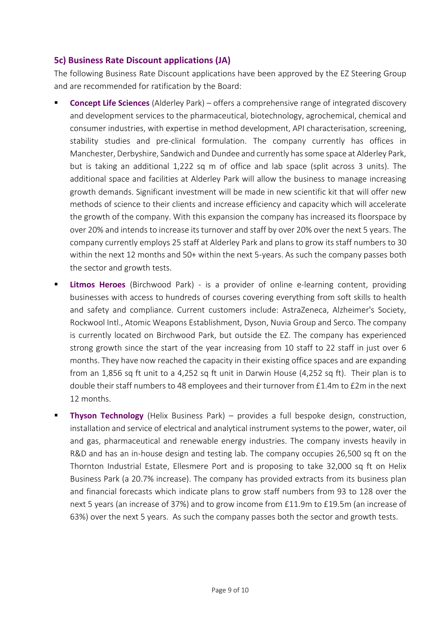## **5c) Business Rate Discount applications (JA)**

The following Business Rate Discount applications have been approved by the EZ Steering Group and are recommended for ratification by the Board:

- **Concept Life Sciences** (Alderley Park) offers a comprehensive range of integrated discovery and development services to the pharmaceutical, biotechnology, agrochemical, chemical and consumer industries, with expertise in method development, API characterisation, screening, stability studies and pre-clinical formulation. The company currently has offices in Manchester, Derbyshire, Sandwich and Dundee and currently has some space at Alderley Park, but is taking an additional 1,222 sq m of office and lab space (split across 3 units). The additional space and facilities at Alderley Park will allow the business to manage increasing growth demands. Significant investment will be made in new scientific kit that will offer new methods of science to their clients and increase efficiency and capacity which will accelerate the growth of the company. With this expansion the company has increased its floorspace by over 20% and intends to increase its turnover and staff by over 20% over the next 5 years. The company currently employs 25 staff at Alderley Park and plans to grow its staff numbers to 30 within the next 12 months and 50+ within the next 5-years. As such the company passes both the sector and growth tests.
- **Example 20 Finds Heroes** (Birchwood Park) is a provider of online e-learning content, providing businesses with access to hundreds of courses covering everything from soft skills to health and safety and compliance. Current customers include: AstraZeneca, Alzheimer's Society, Rockwool Intl., Atomic Weapons Establishment, Dyson, Nuvia Group and Serco. The company is currently located on Birchwood Park, but outside the EZ. The company has experienced strong growth since the start of the year increasing from 10 staff to 22 staff in just over 6 months. They have now reached the capacity in their existing office spaces and are expanding from an 1,856 sq ft unit to a 4,252 sq ft unit in Darwin House (4,252 sq ft). Their plan is to double their staff numbers to 48 employees and their turnover from £1.4m to £2m in the next 12 months.
- **Thyson Technology** (Helix Business Park) provides a full bespoke design, construction, installation and service of electrical and analytical instrument systems to the power, water, oil and gas, pharmaceutical and renewable energy industries. The company invests heavily in R&D and has an in-house design and testing lab. The company occupies 26,500 sq ft on the Thornton Industrial Estate, Ellesmere Port and is proposing to take 32,000 sq ft on Helix Business Park (a 20.7% increase). The company has provided extracts from its business plan and financial forecasts which indicate plans to grow staff numbers from 93 to 128 over the next 5 years (an increase of 37%) and to grow income from £11.9m to £19.5m (an increase of 63%) over the next 5 years. As such the company passes both the sector and growth tests.